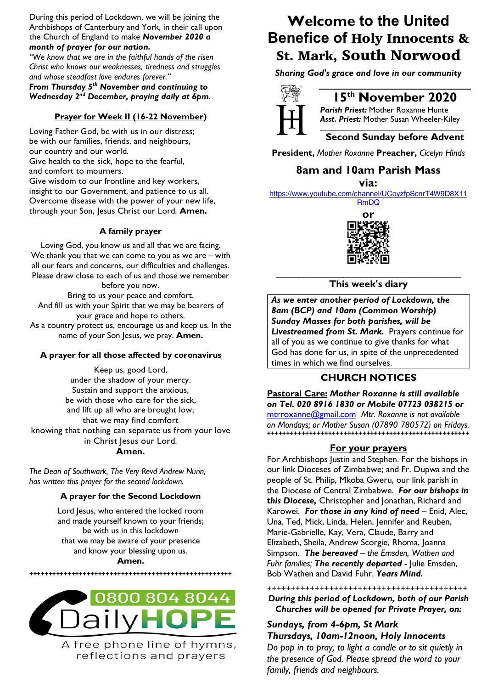During this period of Lockdown, we will be joining the Archbishops of Canterbury and York, in their call upon the Church of England to make *November 2020 a month of prayer for our nation.*

*"We know that we are in the faithful hands of the risen Christ who knows our weaknesses, tiredness and struggles and whose steadfast love endures forever."*

*From Thursday 5th November and continuing to Wednesday 2nd December, praying daily at 6pm.*

#### **Prayer for Week II (16-22 November)**

Loving Father God, be with us in our distress; be with our families, friends, and neighbours, our country and our world.

Give health to the sick, hope to the fearful, and comfort to mourners.

Give wisdom to our frontline and key workers, insight to our Government, and patience to us all. Overcome disease with the power of your new life, through your Son, Jesus Christ our Lord. **Amen.**

#### **A family prayer**

Loving God, you know us and all that we are facing. We thank you that we can come to you as we are – with all our fears and concerns, our difficulties and challenges. Please draw close to each of us and those we remember before you now.

Bring to us your peace and comfort. And fill us with your Spirit that we may be bearers of your grace and hope to others. As a country protect us, encourage us and keep us. In the name of your Son Jesus, we pray. **Amen.**

#### **A prayer for all those affected by coronavirus**

Keep us, good Lord, under the shadow of your mercy. Sustain and support the anxious, be with those who care for the sick, and lift up all who are brought low; that we may find comfort knowing that nothing can separate us from your love in Christ Jesus our Lord. **Amen.**

*The Dean of Southwark, The Very Revd Andrew Nunn, has written this prayer for the second lockdown.*

#### **A prayer for the Second Lockdown**

Lord Jesus, who entered the locked room and made yourself known to your friends; be with us in this lockdown that we may be aware of your presence and know your blessing upon us.

**Amen.**

**+++++++++++++++++++++++++++++++++++++++++++++++++++++**



A free phone line of hymns, reflections and prayers

## **Welcome to the United Benefice of** Holy Innocents & St. Mark, South Norwood

*Sharing God's grace and love in our community*



### **15th November 2020**

*Parish Priest:* Mother Roxanne Hunte *Asst. Priest:* Mother Susan Wheeler-Kiley

#### *\_\_\_\_\_\_\_\_\_\_\_\_\_\_\_\_\_\_\_\_\_\_\_\_\_\_\_\_\_\_\_\_\_\_\_\_\_\_\_\_\_\_\_\_* **Second Sunday before Advent**

**President,** *Mother Roxanne* **Preacher,** *Cicelyn Hinds*

#### **8am and 10am Parish Mass**

**via:** 

https://www.youtube.com/channel/UCoyzfpScnrT4W9D8X11 RmDQ



#### \_\_\_\_\_\_\_\_\_\_\_\_\_\_\_\_\_\_\_\_\_\_\_\_\_\_\_\_\_\_\_\_\_\_\_\_\_\_\_\_\_ **This week's diary**

*As we enter another period of Lockdown, the 8am (BCP) and 10am (Common Worship) Sunday Masses for both parishes, will be Livestreamed from St. Mark.* Prayers continue for all of you as we continue to give thanks for what God has done for us, in spite of the unprecedented times in which we find ourselves.

#### **CHURCH NOTICES**

**Pastoral Care:** *Mother Roxanne is still available on Tel. 020 8916 1830 or Mobile 07723 038215 or* mtrroxanne@gmail.com *Mtr. Roxanne is not available on Mondays; or Mother Susan (07890 780572) on Fridays.* **+++++++++++++++++++++++++++++++++++++++++++++++++++++**

#### **For your prayers**

For Archbishops Justin and Stephen. For the bishops in our link Dioceses of Zimbabwe; and Fr. Dupwa and the people of St. Philip, Mkoba Gweru, our link parish in the Diocese of Central Zimbabwe. *For our bishops in this Diocese,* Christopher and Jonathan, Richard and Karowei. *For those in any kind of need* – Enid, Alec, Una, Ted, Mick, Linda, Helen, Jennifer and Reuben, Marie-Gabrielle, Kay, Vera, Claude, Barry and Elizabeth, Sheila, Andrew Scorgie, Rhoma, Joanna Simpson. *The bereaved – the Emsden, Wathen and Fuhr families; The recently departed* - Julie Emsden, Bob Wathen and David Fuhr. *Years Mind.*

++++++++++++++++++++++++++++++++++++++++++

*During this period of Lockdown, both of our Parish Churches will be opened for Private Prayer, on:*

#### *Sundays, from 4-6pm, St Mark Thursdays, 10am-12noon, Holy Innocents Do pop in to pray, to light a candle or to sit quietly in*

*the presence of God. Please spread the word to your family, friends and neighbours.*